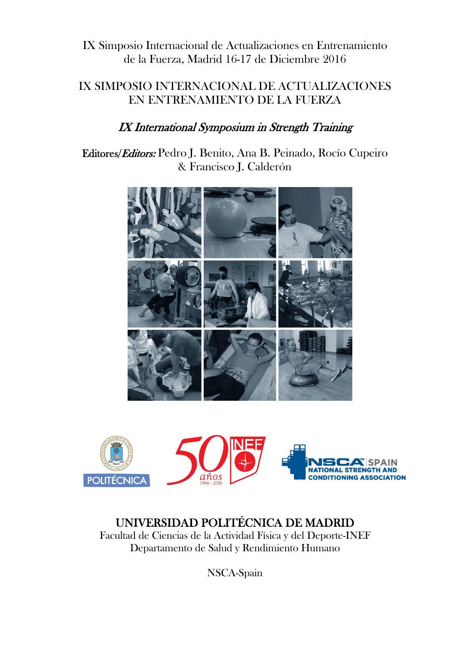### IX SIMPOSIO INTERNACIONAL DE ACTUALIZACIONES EN ENTRENAMIENTO DE LA FUERZA

## IX International Symposium in Strength Training

Editores/Editors: Pedro J. Benito, Ana B. Peinado, Rocío Cupeiro & Francisco J. Calderón





# UNIVERSIDAD POLITÉCNICA DE MADRID

Facultad de Ciencias de la Actividad Física y del Deporte-INEF Departamento de Salud y Rendimiento Humano

NSCA-Spain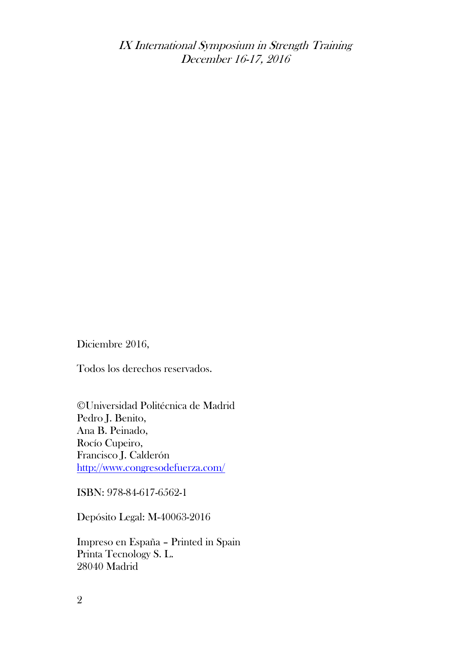IX International Symposium in Strength Training December 16-17, 2016

Diciembre 2016,

Todos los derechos reservados.

©Universidad Politécnica de Madrid Pedro J. Benito, Ana B. Peinado, Rocío Cupeiro, Francisco J. Calderón http://www.congresodefuerza.com/

ISBN: 978-84-617-6562-1

Depósito Legal: M-40063-2016

Impreso en España – Printed in Spain Printa Tecnology S. L. 28040 Madrid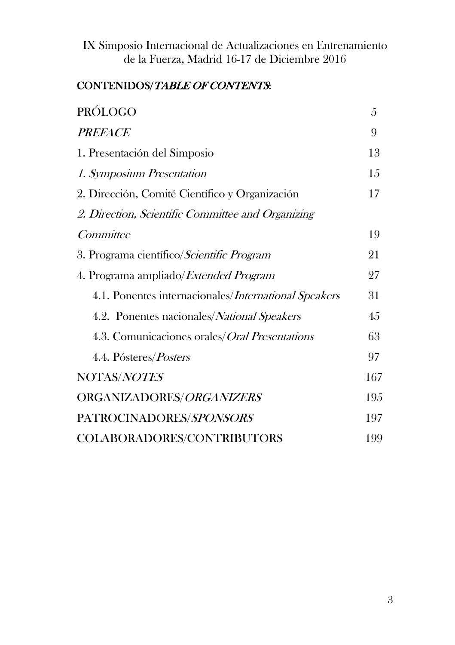# CONTENIDOS/TABLE OF CONTENTS:

| <b>PRÓLOGO</b>                                       | 5   |
|------------------------------------------------------|-----|
| <b>PREFACE</b>                                       | 9   |
| 1. Presentación del Simposio                         | 13  |
| 1. Symposium Presentation                            | 15  |
| 2. Dirección, Comité Científico y Organización       | 17  |
| 2. Direction, Scientific Committee and Organizing    |     |
| Committee                                            | 19  |
| 3. Programa científico/Scientific Program            | 21  |
| 4. Programa ampliado/ <i>Extended Program</i>        | 27  |
| 4.1. Ponentes internacionales/International Speakers | 31  |
| 4.2. Ponentes nacionales/National Speakers           | 45  |
| 4.3. Comunicaciones orales/Oral Presentations        | 63  |
| 4.4. Pósteres/ <i>Posters</i>                        | 97  |
| NOTAS/NOTES                                          | 167 |
| ORGANIZADORES/ORGANIZERS                             | 195 |
| PATROCINADORES/SPONSORS                              | 197 |
| COLABORADORES/CONTRIBUTORS                           | 199 |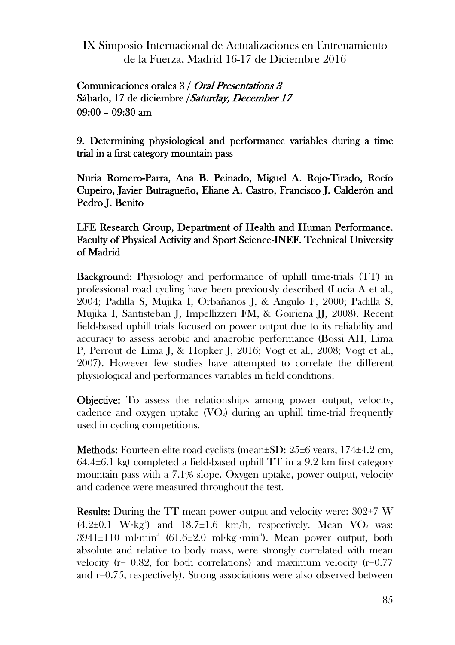#### Comunicaciones orales 3 / Oral Presentations 3 Sábado, 17 de diciembre /Saturday, December 17 09:00 – 09:30 am

9. Determining physiological and performance variables during a time trial in a first category mountain pass

Nuria Romero-Parra, Ana B. Peinado, Miguel A. Rojo-Tirado, Rocío Cupeiro, Javier Butragueño, Eliane A. Castro, Francisco J. Calderón and Pedro J. Benito

#### LFE Research Group, Department of Health and Human Performance. Faculty of Physical Activity and Sport Science-INEF. Technical University of Madrid

Background: Physiology and performance of uphill time-trials (TT) in professional road cycling have been previously described (Lucia A et al., 2004; Padilla S, Mujika I, Orbañanos J, & Angulo F, 2000; Padilla S, Mujika I, Santisteban J, Impellizzeri FM, & Goiriena JJ, 2008). Recent field-based uphill trials focused on power output due to its reliability and accuracy to assess aerobic and anaerobic performance (Bossi AH, Lima P, Perrout de Lima J, & Hopker J, 2016; Vogt et al., 2008; Vogt et al., 2007). However few studies have attempted to correlate the different physiological and performances variables in field conditions.

Objective: To assess the relationships among power output, velocity, cadence and oxygen uptake  $(VO<sub>2</sub>)$  during an uphill time-trial frequently used in cycling competitions.

**Methods:** Fourteen elite road cyclists (mean $\pm$ SD: 25 $\pm$ 6 years, 174 $\pm$ 4.2 cm,  $64.4\pm6.1$  kg) completed a field-based uphill TT in a 9.2 km first category mountain pass with a 7.1% slope. Oxygen uptake, power output, velocity and cadence were measured throughout the test.

Results: During the TT mean power output and velocity were: 302±7 W  $(4.2\pm0.1 \text{ W} \cdot \text{kg}^3)$  and  $18.7\pm1.6 \text{ km/h}$ , respectively. Mean VO<sub>2</sub> was:  $3941\pm110$  ml·min<sup>1</sup> (61.6 $\pm2.0$  ml·kg<sup>1</sup>·min<sup>1</sup>). Mean power output, both absolute and relative to body mass, were strongly correlated with mean velocity ( $r = 0.82$ , for both correlations) and maximum velocity ( $r = 0.77$ ) and r=0.75, respectively). Strong associations were also observed between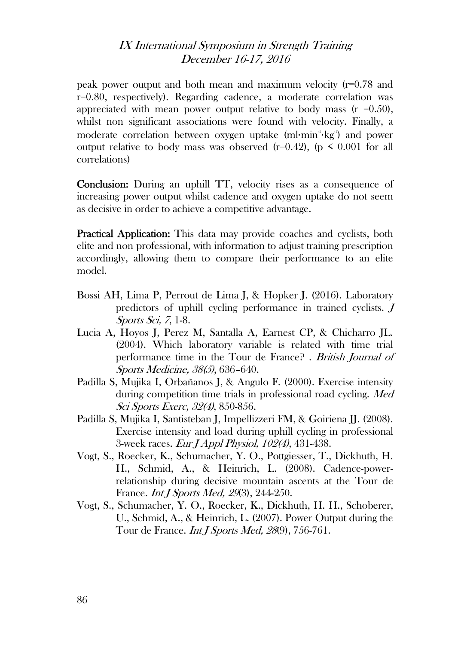#### IX International Symposium in Strength Training December 16-17, 2016

peak power output and both mean and maximum velocity (r=0.78 and r=0.80, respectively). Regarding cadence, a moderate correlation was appreciated with mean power output relative to body mass  $(r = 0.50)$ , whilst non significant associations were found with velocity. Finally, a moderate correlation between oxygen uptake (ml·min<sup>4</sup>·kg<sup>a</sup>) and power output relative to body mass was observed (r=0.42), (p  $\leq$  0.001 for all correlations)

Conclusion: During an uphill TT, velocity rises as a consequence of increasing power output whilst cadence and oxygen uptake do not seem as decisive in order to achieve a competitive advantage.

Practical Application: This data may provide coaches and cyclists, both elite and non professional, with information to adjust training prescription accordingly, allowing them to compare their performance to an elite model.

- Bossi AH, Lima P, Perrout de Lima J, & Hopker J. (2016). Laboratory predictors of uphill cycling performance in trained cyclists. J Sports Sci, 7, 1-8.
- Lucia A, Hoyos J, Perez M, Santalla A, Earnest CP, & Chicharro JL. (2004). Which laboratory variable is related with time trial performance time in the Tour de France? . British Journal of Sports Medicine, 38(5), 636–640.
- Padilla S, Mujika I, Orbañanos J, & Angulo F. (2000). Exercise intensity during competition time trials in professional road cycling. Med Sci Sports Exerc, 32(4), 850-856.
- Padilla S, Mujika I, Santisteban J, Impellizzeri FM, & Goiriena JJ. (2008). Exercise intensity and load during uphill cycling in professional 3-week races. Eur J Appl Physiol, 102(4), 431-438.
- Vogt, S., Roecker, K., Schumacher, Y. O., Pottgiesser, T., Dickhuth, H. H., Schmid, A., & Heinrich, L. (2008). Cadence-powerrelationship during decisive mountain ascents at the Tour de France. *Int J Sports Med, 29*(3), 244-250.
- Vogt, S., Schumacher, Y. O., Roecker, K., Dickhuth, H. H., Schoberer, U., Schmid, A., & Heinrich, L. (2007). Power Output during the Tour de France. *Int J Sports Med, 28*(9), 756-761.